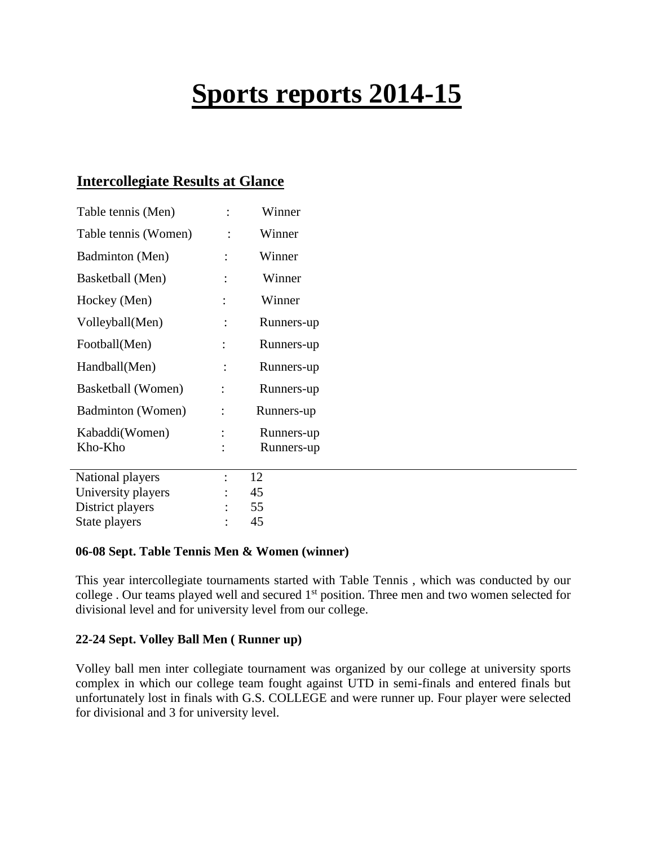# **Sports reports 2014-15**

### **Intercollegiate Results at Glance**

|                | Winner                   |
|----------------|--------------------------|
|                | Winner                   |
|                | Winner                   |
|                | Winner                   |
|                | Winner                   |
|                | Runners-up               |
| $\ddot{\cdot}$ | Runners-up               |
|                | Runners-up               |
| $\ddot{\cdot}$ | Runners-up               |
|                | Runners-up               |
|                | Runners-up<br>Runners-up |
|                | 12                       |
|                | 45                       |
|                | 55                       |
|                | 45                       |
|                |                          |

### **06-08 Sept. Table Tennis Men & Women (winner)**

This year intercollegiate tournaments started with Table Tennis , which was conducted by our college . Our teams played well and secured 1<sup>st</sup> position. Three men and two women selected for divisional level and for university level from our college.

### **22-24 Sept. Volley Ball Men ( Runner up)**

Volley ball men inter collegiate tournament was organized by our college at university sports complex in which our college team fought against UTD in semi-finals and entered finals but unfortunately lost in finals with G.S. COLLEGE and were runner up. Four player were selected for divisional and 3 for university level.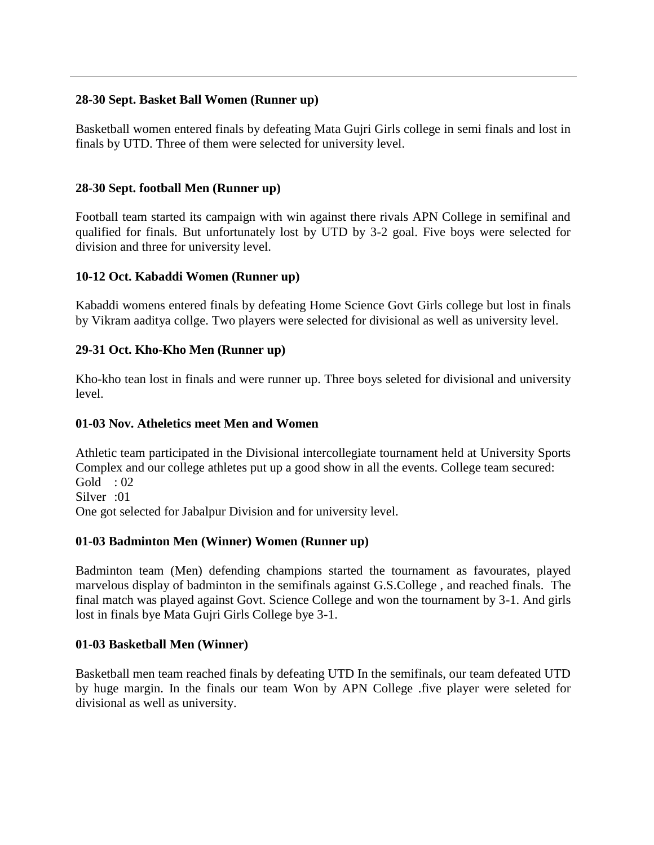#### **28-30 Sept. Basket Ball Women (Runner up)**

Basketball women entered finals by defeating Mata Gujri Girls college in semi finals and lost in finals by UTD. Three of them were selected for university level.

#### **28-30 Sept. football Men (Runner up)**

Football team started its campaign with win against there rivals APN College in semifinal and qualified for finals. But unfortunately lost by UTD by 3-2 goal. Five boys were selected for division and three for university level.

### **10-12 Oct. Kabaddi Women (Runner up)**

Kabaddi womens entered finals by defeating Home Science Govt Girls college but lost in finals by Vikram aaditya collge. Two players were selected for divisional as well as university level.

#### **29-31 Oct. Kho-Kho Men (Runner up)**

Kho-kho tean lost in finals and were runner up. Three boys seleted for divisional and university level.

#### **01-03 Nov. Atheletics meet Men and Women**

Athletic team participated in the Divisional intercollegiate tournament held at University Sports Complex and our college athletes put up a good show in all the events. College team secured:  $Gold : 02$ Silver :01 One got selected for Jabalpur Division and for university level.

#### **01-03 Badminton Men (Winner) Women (Runner up)**

Badminton team (Men) defending champions started the tournament as favourates, played marvelous display of badminton in the semifinals against G.S.College , and reached finals. The final match was played against Govt. Science College and won the tournament by 3-1. And girls lost in finals bye Mata Gujri Girls College bye 3-1.

#### **01-03 Basketball Men (Winner)**

Basketball men team reached finals by defeating UTD In the semifinals, our team defeated UTD by huge margin. In the finals our team Won by APN College .five player were seleted for divisional as well as university.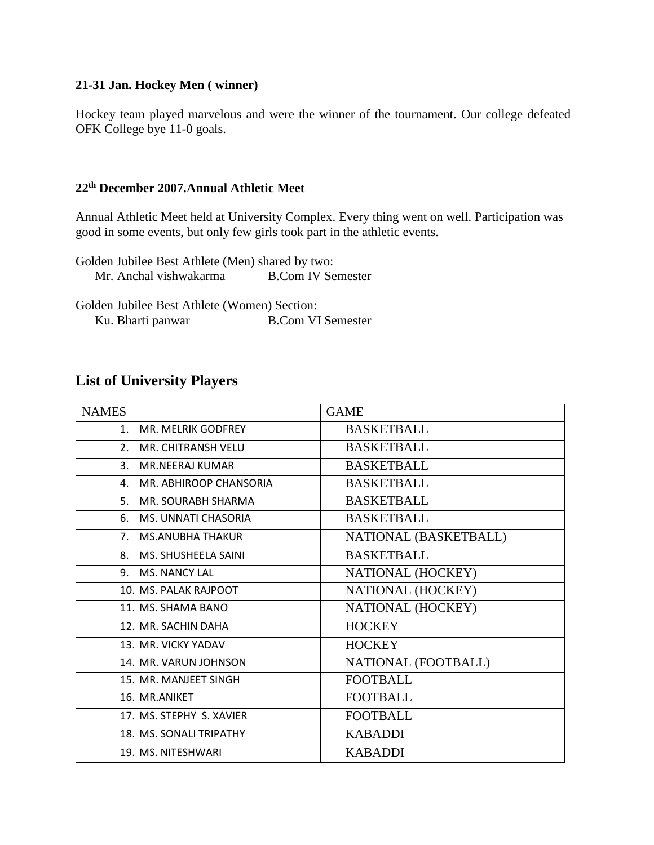### **21-31 Jan. Hockey Men ( winner)**

Hockey team played marvelous and were the winner of the tournament. Our college defeated OFK College bye 11-0 goals.

#### **22th December 2007.Annual Athletic Meet**

Annual Athletic Meet held at University Complex. Every thing went on well. Participation was good in some events, but only few girls took part in the athletic events.

Golden Jubilee Best Athlete (Men) shared by two: Mr. Anchal vishwakarma B.Com IV Semester

Golden Jubilee Best Athlete (Women) Section: Ku. Bharti panwar B.Com VI Semester

### **List of University Players**

| <b>NAMES</b>                      | <b>GAME</b>           |
|-----------------------------------|-----------------------|
| MR. MELRIK GODFREY<br>$1_{-}$     | <b>BASKETBALL</b>     |
| $2^{\circ}$<br>MR. CHITRANSH VELU | <b>BASKETBALL</b>     |
| 3. MR.NEERAJ KUMAR                | <b>BASKETBALL</b>     |
| MR. ABHIROOP CHANSORIA<br>4.      | <b>BASKETBALL</b>     |
| 5. MR. SOURABH SHARMA             | <b>BASKETBALL</b>     |
| 6. MS. UNNATI CHASORIA            | <b>BASKETBALL</b>     |
| 7. MS.ANUBHA THAKUR               | NATIONAL (BASKETBALL) |
| 8. MS. SHUSHEELA SAINI            | <b>BASKETBALL</b>     |
| 9. MS. NANCY LAL                  | NATIONAL (HOCKEY)     |
| 10. MS. PALAK RAJPOOT             | NATIONAL (HOCKEY)     |
| 11. MS. SHAMA BANO                | NATIONAL (HOCKEY)     |
| 12. MR. SACHIN DAHA               | <b>HOCKEY</b>         |
| 13. MR. VICKY YADAV               | <b>HOCKEY</b>         |
| 14. MR. VARUN JOHNSON             | NATIONAL (FOOTBALL)   |
| 15. MR. MANJEET SINGH             | <b>FOOTBALL</b>       |
| 16. MR.ANIKET                     | <b>FOOTBALL</b>       |
| 17. MS. STEPHY S. XAVIER          | <b>FOOTBALL</b>       |
| 18. MS. SONALI TRIPATHY           | <b>KABADDI</b>        |
| 19. MS. NITESHWARI                | <b>KABADDI</b>        |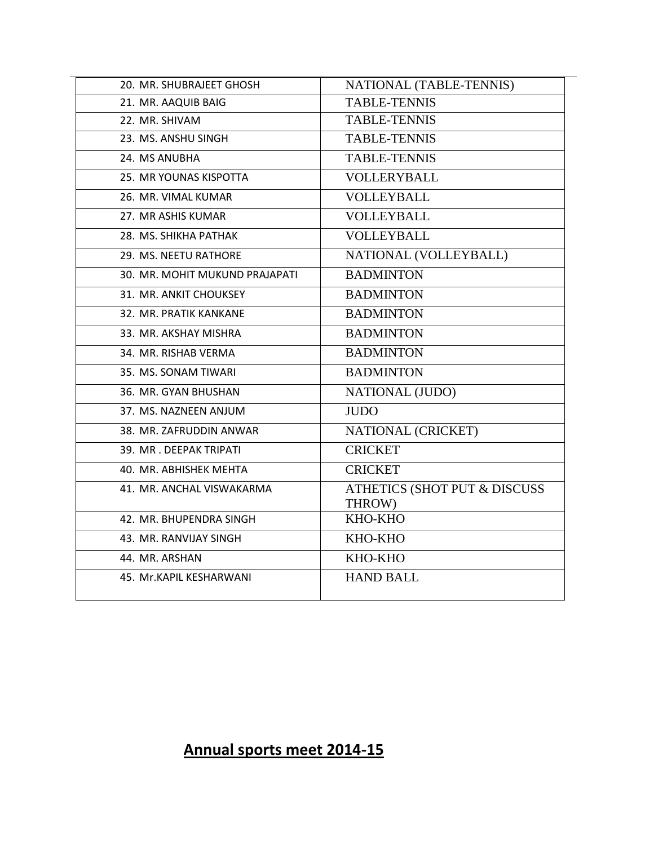| 20. MR. SHUBRAJEET GHOSH       | NATIONAL (TABLE-TENNIS)      |  |
|--------------------------------|------------------------------|--|
| 21. MR. AAQUIB BAIG            | <b>TABLE-TENNIS</b>          |  |
| 22. MR. SHIVAM                 | <b>TABLE-TENNIS</b>          |  |
| 23. MS. ANSHU SINGH            | <b>TABLE-TENNIS</b>          |  |
| 24. MS ANUBHA                  | <b>TABLE-TENNIS</b>          |  |
| 25. MR YOUNAS KISPOTTA         | <b>VOLLERYBALL</b>           |  |
| 26. MR. VIMAL KUMAR            | <b>VOLLEYBALL</b>            |  |
| 27. MR ASHIS KUMAR             | <b>VOLLEYBALL</b>            |  |
| 28. MS. SHIKHA PATHAK          | <b>VOLLEYBALL</b>            |  |
| 29. MS. NEETU RATHORE          | NATIONAL (VOLLEYBALL)        |  |
| 30. MR. MOHIT MUKUND PRAJAPATI | <b>BADMINTON</b>             |  |
| 31. MR. ANKIT CHOUKSEY         | <b>BADMINTON</b>             |  |
| 32. MR. PRATIK KANKANE         | <b>BADMINTON</b>             |  |
| 33. MR. AKSHAY MISHRA          | <b>BADMINTON</b>             |  |
| 34. MR. RISHAB VERMA           | <b>BADMINTON</b>             |  |
| 35. MS. SONAM TIWARI           | <b>BADMINTON</b>             |  |
| 36. MR. GYAN BHUSHAN           | <b>NATIONAL (JUDO)</b>       |  |
| 37. MS. NAZNEEN ANJUM          | <b>JUDO</b>                  |  |
| 38. MR. ZAFRUDDIN ANWAR        | NATIONAL (CRICKET)           |  |
| 39. MR. DEEPAK TRIPATI         | <b>CRICKET</b>               |  |
| 40. MR. ABHISHEK MEHTA         | <b>CRICKET</b>               |  |
| 41. MR. ANCHAL VISWAKARMA      | ATHETICS (SHOT PUT & DISCUSS |  |
|                                | THROW)                       |  |
| 42. MR. BHUPENDRA SINGH        | KHO-KHO                      |  |
| 43. MR. RANVIJAY SINGH         | KHO-KHO                      |  |
| 44. MR. ARSHAN                 | KHO-KHO                      |  |
| 45. Mr.KAPIL KESHARWANI        | <b>HAND BALL</b>             |  |
|                                |                              |  |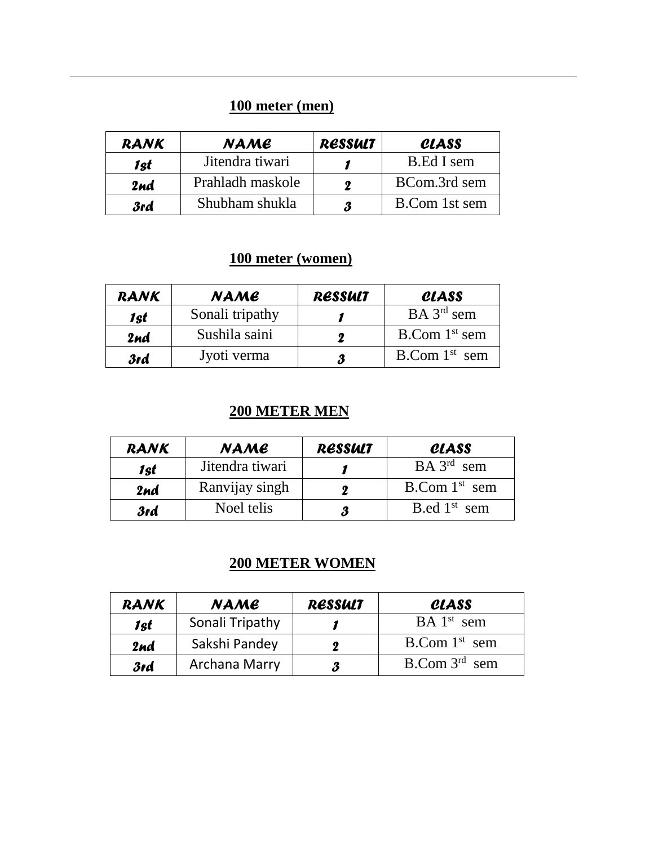### **100 meter (men)**

| <b>RANK</b> | NAME             | <b>RESSULT</b> | <b>CLASS</b>  |
|-------------|------------------|----------------|---------------|
| 1st         | Jitendra tiwari  |                | B.Ed I sem    |
| 2nd         | Prahladh maskole | 9              | BCom.3rd sem  |
| 3rd         | Shubham shukla   | З              | B.Com 1st sem |

### **100 meter (women)**

| <b>RANK</b> | <b>NAME</b>     | <b>RESSULT</b> | <b>CLASS</b>                        |
|-------------|-----------------|----------------|-------------------------------------|
| 1st         | Sonali tripathy |                | $BA \, 3^{rd}$ sem                  |
| 2nd         | Sushila saini   |                | $B.$ Com 1 <sup>st</sup> sem        |
| 3rd         | Jyoti verma     |                | $B_{\cdot}$ Com 1 <sup>st</sup> sem |

### **200 METER MEN**

| <b>RANK</b> | NAME            | <b>RESSULT</b> | <i><b>CLASS</b></i>                 |
|-------------|-----------------|----------------|-------------------------------------|
| 1st         | Jitendra tiwari |                | $BA \, 3^{rd}$ sem                  |
| 2nd         | Ranvijay singh  |                | $B_{\cdot}$ Com 1 <sup>st</sup> sem |
| 3rd         | Noel telis      |                | B.ed $1st$ sem                      |

### **200 METER WOMEN**

| <b>RANK</b> | NAME            | <b>RESSULT</b> | <b>CLASS</b>                        |
|-------------|-----------------|----------------|-------------------------------------|
| 1st         | Sonali Tripathy |                | $BA1st$ sem                         |
| 2nd         | Sakshi Pandey   |                | $B_{\cdot}$ Com 1 <sup>st</sup> sem |
| 3rd         | Archana Marry   |                | $B_{\cdot}$ Com 3 <sup>rd</sup> sem |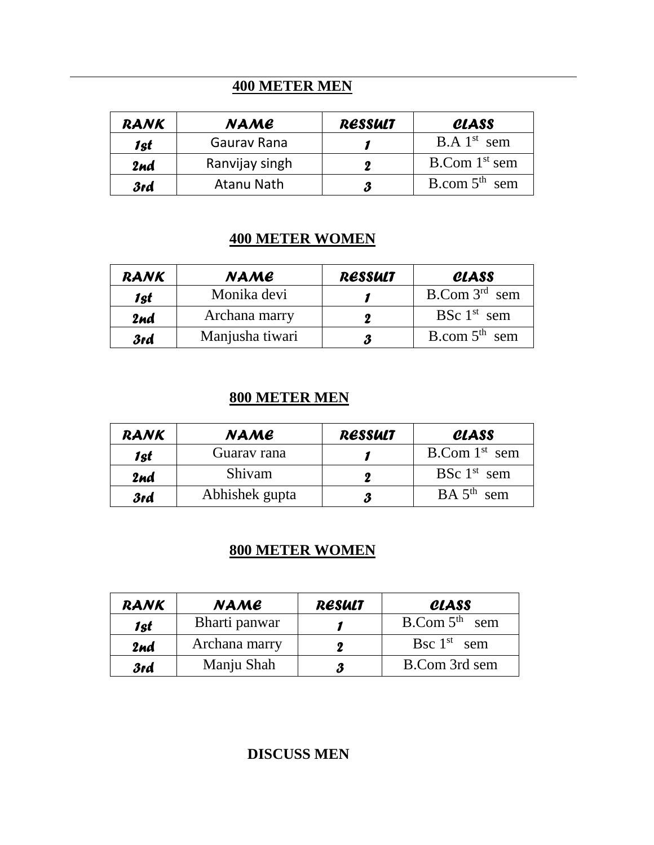# **400 METER MEN**

| <b>RANK</b> | NAME           | <b>RESSULT</b> | <b>CLASS</b>                        |
|-------------|----------------|----------------|-------------------------------------|
| 1st         | Gauray Rana    |                | $B.A 1st$ sem                       |
| 2nd         | Ranvijay singh | 9              | $B_{\cdot}$ Com 1 <sup>st</sup> sem |
| 3rd         | Atanu Nath     |                | B.com $5th$ sem                     |

### **400 METER WOMEN**

| <b>RANK</b> | NAME            | <b>RESSULT</b> | <b>CLASS</b>                        |
|-------------|-----------------|----------------|-------------------------------------|
| 1st         | Monika devi     |                | $B_{\cdot}$ Com 3 <sup>rd</sup> sem |
| 2nd         | Archana marry   |                | BSc $1st$ sem                       |
| 3rd         | Manjusha tiwari |                | B.com $5th$ sem                     |

### **800 METER MEN**

| <b>RANK</b> | NAME           | <b>RESSULT</b> | <b>CLASS</b>                        |
|-------------|----------------|----------------|-------------------------------------|
| 1st         | Guarav rana    |                | $B_{\cdot}$ Com 1 <sup>st</sup> sem |
| 2nd         | Shivam         |                | BSc $1st$ sem                       |
| 3rd         | Abhishek gupta |                | $BA 5th$ sem                        |

### **800 METER WOMEN**

| <b>RANK</b> | NAME          | <b>RESULT</b> | <b>CLASS</b>                           |
|-------------|---------------|---------------|----------------------------------------|
| 1st         | Bharti panwar |               | $B_{\cdot}$ Com 5 <sup>th</sup><br>sem |
| 2nd         | Archana marry |               | $\operatorname{Bsc} 1^{\text{st}}$ sem |
| 3rd         | Manju Shah    |               | B.Com 3rd sem                          |

### **DISCUSS MEN**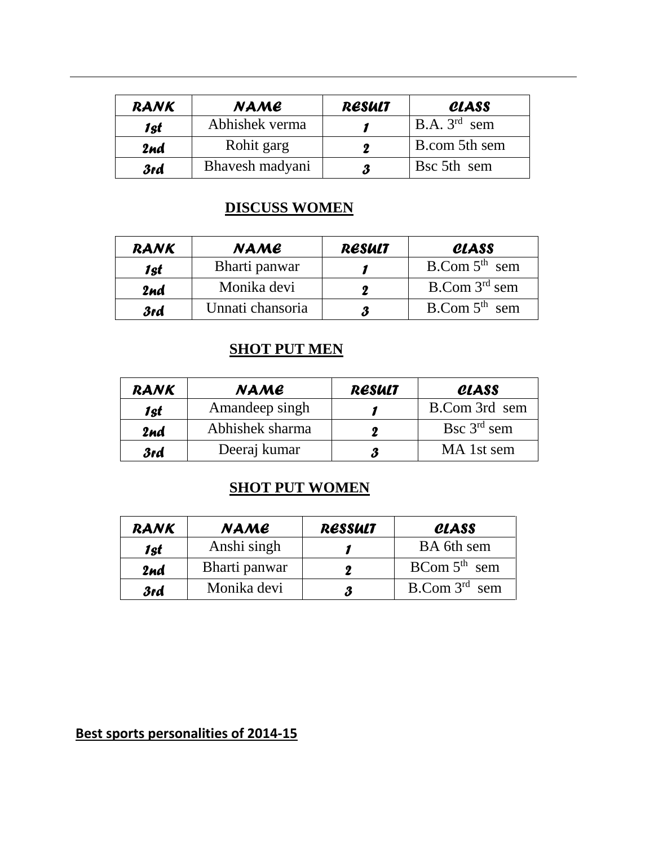| <b>RANK</b> | NAME            | <b>RESULT</b> | <b>CLASS</b>   |
|-------------|-----------------|---------------|----------------|
| 1st         | Abhishek verma  |               | $B.A. 3rd$ sem |
| 2nd         | Rohit garg      |               | B.com 5th sem  |
| 3rd         | Bhavesh madyani |               | Bsc 5th sem    |

### **DISCUSS WOMEN**

| <b>RANK</b> | NAME             | <b>RESULT</b> | <i><b>CLASS</b></i>                 |
|-------------|------------------|---------------|-------------------------------------|
| 1st         | Bharti panwar    |               | B. Com 5 <sup>th</sup> sem          |
| 2nd         | Monika devi      |               | $B_{\cdot}$ Com 3 <sup>rd</sup> sem |
| 3rd         | Unnati chansoria |               | $B_{\cdot}$ Com $5^{\text{th}}$ sem |

### **SHOT PUT MEN**

| <b>RANK</b> | NAME            | <b>RESULT</b> | <b>CLASS</b>  |
|-------------|-----------------|---------------|---------------|
| 1st         | Amandeep singh  |               | B.Com 3rd sem |
| 2nd         | Abhishek sharma |               | $Bsc 3rd$ sem |
| 3rd         | Deeraj kumar    |               | MA 1st sem    |

### **SHOT PUT WOMEN**

| <b>RANK</b> | NAME          | <b>RESSULT</b> | <b>CLASS</b>                        |
|-------------|---------------|----------------|-------------------------------------|
| 1 st        | Anshi singh   |                | BA 6th sem                          |
| 2nd         | Bharti panwar |                | $BCom 5th$ sem                      |
| 3rd         | Monika devi   |                | $B_{\cdot}$ Com 3 <sup>rd</sup> sem |

# **Best sports personalities of 2014-15**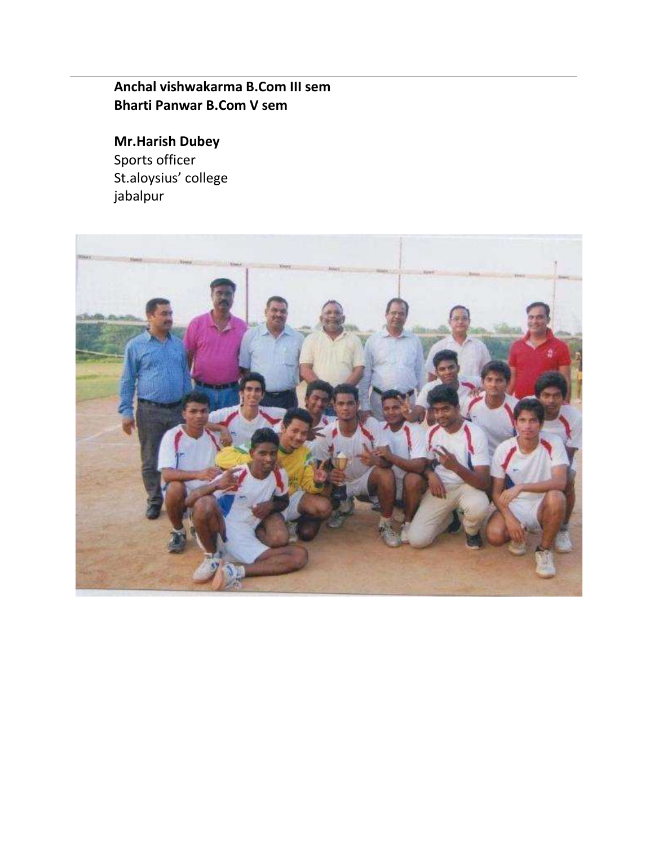### **Anchal vishwakarma B.Com III sem Bharti Panwar B.Com V sem**

**Mr.Harish Dubey** Sports officer St.aloysius' college jabalpur

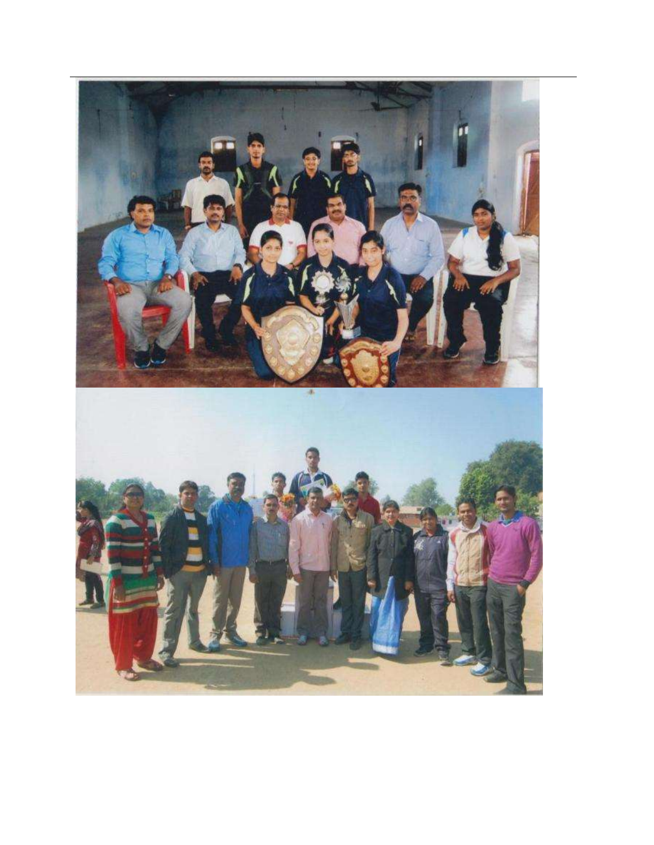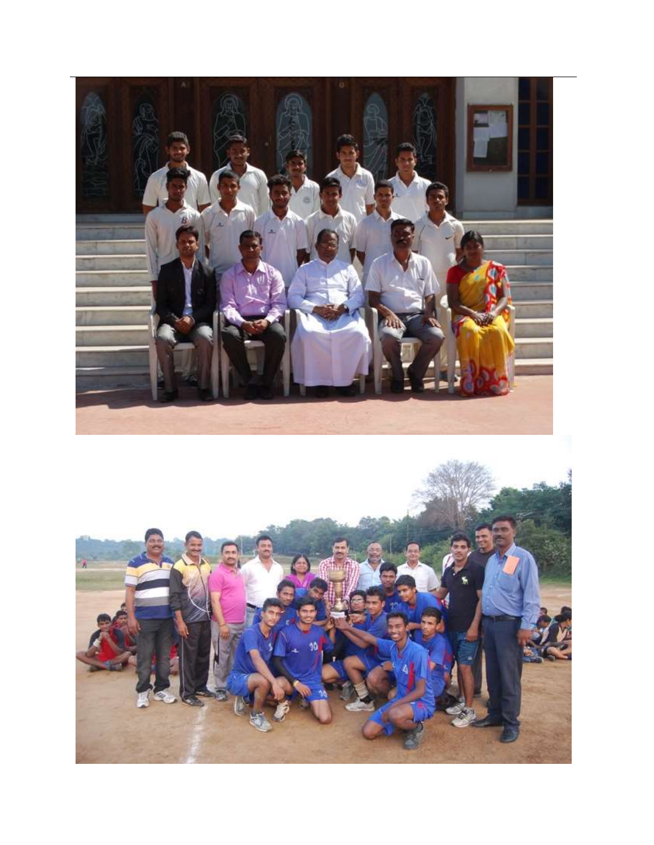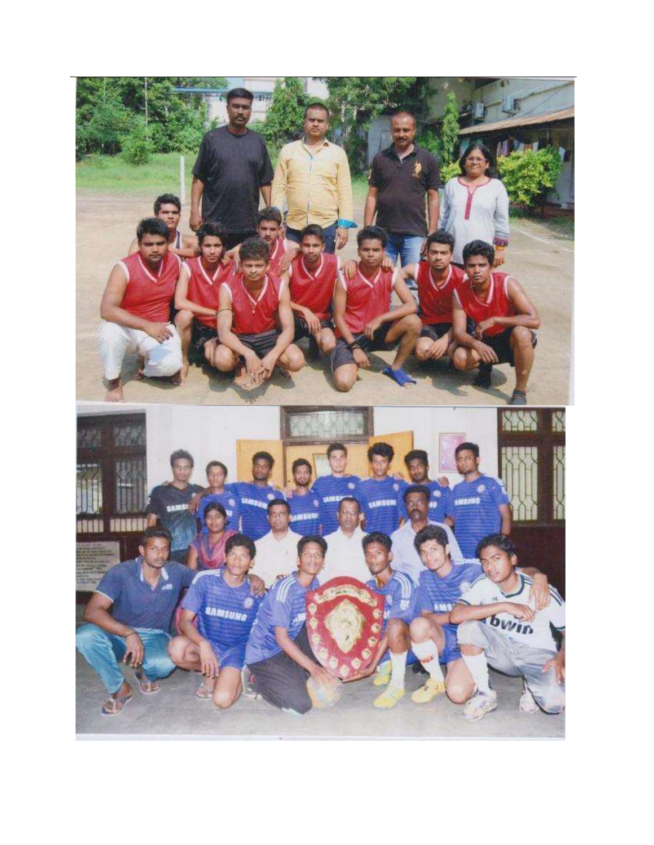